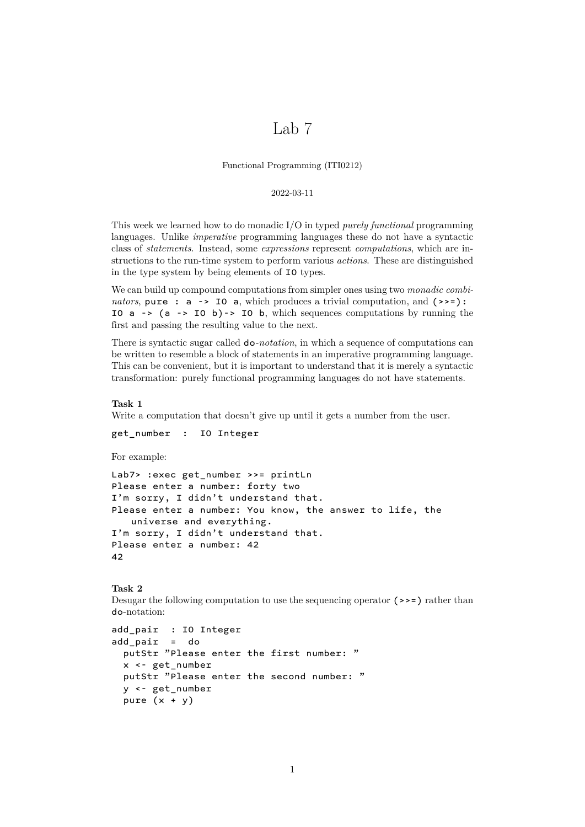# Lab 7

Functional Programming (ITI0212)

## 2022-03-11

This week we learned how to do monadic I/O in typed *purely functional* programming languages. Unlike *imperative* programming languages these do not have a syntactic class of *statements*. Instead, some *expressions* represent *computations*, which are instructions to the run-time system to perform various *actions*. These are distinguished in the type system by being elements of IO types.

We can build up compound computations from simpler ones using two *monadic combinators*, pure :  $a \rightarrow 10$  a, which produces a trivial computation, and  $(\rightarrow \rightarrow)$ : IO a  $\rightarrow$  (a  $\rightarrow$  IO b) $\rightarrow$  IO b, which sequences computations by running the first and passing the resulting value to the next.

There is syntactic sugar called do*-notation*, in which a sequence of computations can be written to resemble a block of statements in an imperative programming language. This can be convenient, but it is important to understand that it is merely a syntactic transformation: purely functional programming languages do not have statements.

# **Task 1**

Write a computation that doesn't give up until it gets a number from the user.

get\_number : IO Integer

For example:

```
Lab7> : exec get number >>= printLn
Please enter a number: forty two
I'm sorry, I didn't understand that.
Please enter a number: You know, the answer to life, the
   universe and everything.
I'm sorry, I didn't understand that.
Please enter a number: 42
42
```
# **Task 2**

Desugar the following computation to use the sequencing operator (>>=) rather than do-notation:

```
add_pair : IO Integer
add_pair = do
 putStr "Please enter the first number: "
 x <- get_number
  putStr "Please enter the second number: "
 y <- get_number
  pure (x + y)
```